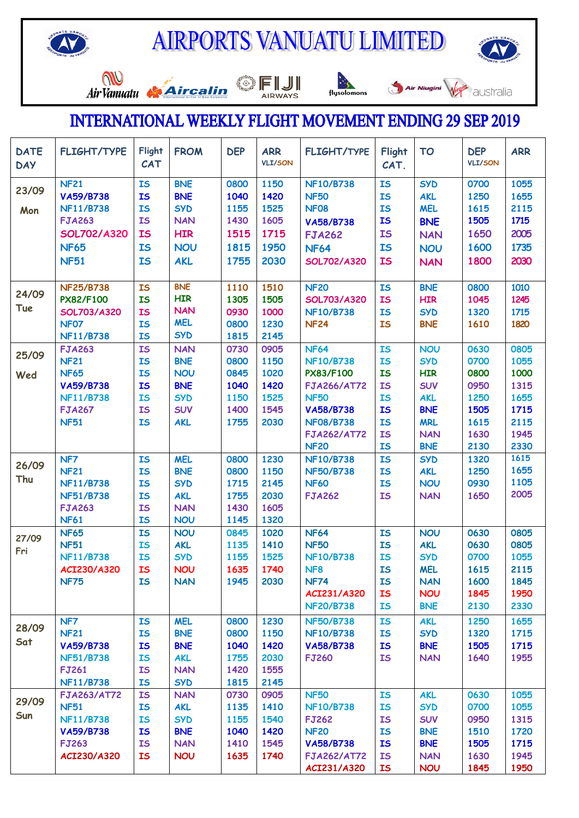



Air Vanuatu



 $\begin{picture}(180,10) \put(0,0){\line(1,0){15}} \put(10,0){\line(1,0){15}} \put(10,0){\line(1,0){15}} \put(10,0){\line(1,0){15}} \put(10,0){\line(1,0){15}} \put(10,0){\line(1,0){15}} \put(10,0){\line(1,0){15}} \put(10,0){\line(1,0){15}} \put(10,0){\line(1,0){15}} \put(10,0){\line(1,0){15}} \put(10,0){\line(1,0){15}} \put(10,0){\line($ 





## **INTERNATIONAL WEEKLY FLIGHT MOVEMENT ENDING 29 SEP 2019**

| <b>DATE</b><br><b>DAY</b> | <b>FLIGHT/TYPE</b>                   | Flight<br><b>CAT</b>   | <b>FROM</b>              | <b>DEP</b>   | <b>ARR</b><br><b>VLI/SON</b> | <b>FLIGHT/TYPE</b>           | Flight<br>CAT.         | <b>TO</b>                | <b>DEP</b><br><b>VLI/SON</b> | <b>ARR</b>   |
|---------------------------|--------------------------------------|------------------------|--------------------------|--------------|------------------------------|------------------------------|------------------------|--------------------------|------------------------------|--------------|
| 23/09                     | <b>NF21</b>                          | <b>IS</b>              | <b>BNE</b>               | 0800         | 1150                         | <b>NF10/B738</b>             | <b>IS</b>              | <b>SYD</b>               | 0700                         | 1055         |
|                           | <b>VA59/B738</b>                     | <b>IS</b>              | <b>BNE</b>               | 1040         | 1420                         | <b>NF50</b>                  | <b>IS</b>              | <b>AKL</b>               | 1250                         | 1655         |
| Mon                       | <b>NF11/B738</b>                     | <b>IS</b>              | <b>SYD</b>               | 1155         | 1525                         | <b>NF08</b>                  | <b>IS</b>              | <b>MEL</b>               | 1615                         | 2115         |
|                           | <b>FJA263</b>                        | <b>IS</b>              | <b>NAN</b>               | 1430         | 1605                         | <b>VA58/B738</b>             | <b>IS</b>              | <b>BNE</b>               | 1505                         | 1715         |
|                           | <b>SOL702/A320</b>                   | <b>IS</b>              | <b>HIR</b>               | 1515         | 1715                         | <b>FJA262</b>                | <b>IS</b>              | <b>NAN</b>               | 1650                         | 2005         |
|                           | <b>NF65</b>                          | IS                     | <b>NOU</b>               | 1815         | 1950                         | <b>NF64</b>                  | <b>IS</b>              | <b>NOU</b>               | 1600                         | 1735         |
|                           | <b>NF51</b>                          | <b>IS</b>              | <b>AKL</b>               | 1755         | 2030                         | <b>SOL702/A320</b>           | <b>IS</b>              | <b>NAN</b>               | 1800                         | 2030         |
|                           |                                      |                        |                          |              |                              |                              |                        |                          |                              |              |
|                           | <b>NF25/B738</b>                     | IS                     | <b>BNE</b>               | 1110         | 1510                         | <b>NF20</b>                  | <b>IS</b>              | <b>BNE</b>               | 0800                         | 1010         |
| 24/09                     | PX82/F100                            | IS                     | <b>HIR</b>               | 1305         | 1505                         | SOL703/A320                  | <b>IS</b>              | <b>HIR</b>               | 1045                         | 1245         |
| Tue                       | <b>SOL703/A320</b>                   | <b>IS</b>              | <b>NAN</b>               | 0930         | 1000                         | <b>NF10/B738</b>             | <b>IS</b>              | <b>SYD</b>               | 1320                         | 1715         |
|                           | NF07                                 | <b>IS</b>              | <b>MEL</b>               | 0800         | 1230                         | <b>NF24</b>                  | <b>IS</b>              | <b>BNE</b>               | 1610                         | 1820         |
|                           | <b>NF11/B738</b>                     | IS                     | <b>SYD</b>               | 1815         | 2145                         |                              |                        |                          |                              |              |
| 25/09                     | <b>FJA263</b>                        | <b>IS</b>              | <b>NAN</b>               | 0730         | 0905                         | <b>NF64</b>                  | <b>IS</b>              | <b>NOU</b>               | 0630                         | 0805         |
|                           | <b>NF21</b>                          | <b>IS</b>              | <b>BNE</b>               | 0800         | 1150                         | <b>NF10/B738</b>             | <b>IS</b>              | <b>SYD</b>               | 0700                         | 1055         |
| Wed                       | <b>NF65</b>                          | <b>IS</b>              | <b>NOU</b>               | 0845         | 1020                         | <b>PX83/F100</b>             | <b>IS</b>              | <b>HIR</b>               | 0800                         | 1000         |
|                           | <b>VA59/B738</b>                     | <b>IS</b>              | <b>BNE</b>               | 1040         | 1420                         | <b>FJA266/AT72</b>           | <b>IS</b>              | <b>SUV</b>               | 0950                         | 1315         |
|                           | <b>NF11/B738</b>                     | <b>IS</b>              | <b>SYD</b>               | 1150         | 1525                         | <b>NF50</b>                  | <b>IS</b>              | <b>AKL</b>               | 1250                         | 1655         |
|                           | <b>FJA267</b>                        | <b>IS</b>              | <b>SUV</b>               | 1400         | 1545                         | <b>VA58/B738</b>             | <b>IS</b>              | <b>BNE</b>               | 1505                         | 1715         |
|                           | <b>NF51</b>                          | <b>IS</b>              | <b>AKL</b>               | 1755         | 2030                         | <b>NF08/B738</b>             | <b>IS</b>              | <b>MRL</b>               | 1615                         | 2115         |
|                           |                                      |                        |                          |              |                              | <b>FJA262/AT72</b>           | <b>IS</b>              | <b>NAN</b>               | 1630                         | 1945         |
|                           |                                      |                        |                          |              |                              | <b>NF20</b>                  | <b>IS</b>              | <b>BNE</b>               | 2130                         | 2330         |
| 26/09                     | NF7                                  | IS                     | <b>MEL</b>               | 0800         | 1230                         | <b>NF10/B738</b>             | <b>IS</b>              | <b>SYD</b>               | 1320                         | 1615<br>1655 |
| Thu                       | <b>NF21</b>                          | <b>IS</b>              | <b>BNE</b>               | 0800         | 1150                         | <b>NF50/B738</b>             | <b>IS</b>              | <b>AKL</b>               | 1250                         | 1105         |
|                           | <b>NF11/B738</b><br><b>NF51/B738</b> | <b>IS</b><br><b>IS</b> | <b>SYD</b><br><b>AKL</b> | 1715<br>1755 | 2145<br>2030                 | <b>NF60</b><br><b>FJA262</b> | <b>IS</b><br><b>IS</b> | <b>NOU</b><br><b>NAN</b> | 0930<br>1650                 | 2005         |
|                           | <b>FJA263</b>                        | <b>IS</b>              | <b>NAN</b>               | 1430         | 1605                         |                              |                        |                          |                              |              |
|                           | <b>NF61</b>                          | <b>IS</b>              | <b>NOU</b>               | 1145         | 1320                         |                              |                        |                          |                              |              |
|                           | <b>NF65</b>                          | IS                     | <b>NOU</b>               | 0845         | 1020                         | <b>NF64</b>                  | <b>IS</b>              | <b>NOU</b>               | 0630                         | 0805         |
| 27/09                     | <b>NF51</b>                          | <b>IS</b>              | <b>AKL</b>               | 1135         | 1410                         | <b>NF50</b>                  | <b>IS</b>              | <b>AKL</b>               | 0630                         | 0805         |
| Fri                       | <b>NF11/B738</b>                     | <b>IS</b>              | <b>SYD</b>               | 1155         | 1525                         | <b>NF10/B738</b>             | <b>IS</b>              | <b>SYD</b>               | 0700                         | 1055         |
|                           | ACI230/A320                          | <b>IS</b>              | <b>NOU</b>               | 1635         | 1740                         | NF <sub>8</sub>              | <b>IS</b>              | <b>MEL</b>               | 1615                         | 2115         |
|                           | <b>NF75</b>                          | <b>IS</b>              | <b>NAN</b>               | 1945         | 2030                         | <b>NF74</b>                  | <b>IS</b>              | <b>NAN</b>               | 1600                         | 1845         |
|                           |                                      |                        |                          |              |                              | ACI231/A320                  | <b>IS</b>              | <b>NOU</b>               | 1845                         | 1950         |
|                           |                                      |                        |                          |              |                              | <b>NF20/B738</b>             | <b>IS</b>              | <b>BNE</b>               | 2130                         | 2330         |
|                           | NF7                                  | <b>IS</b>              | <b>MEL</b>               | 0800         | 1230                         | <b>NF50/B738</b>             | <b>IS</b>              | <b>AKL</b>               | 1250                         | 1655         |
| 28/09                     | <b>NF21</b>                          | IS                     | <b>BNE</b>               | 0800         | 1150                         | <b>NF10/B738</b>             | <b>IS</b>              | <b>SYD</b>               | 1320                         | 1715         |
| Sat                       | <b>VA59/B738</b>                     | <b>IS</b>              | <b>BNE</b>               | 1040         | 1420                         | <b>VA58/B738</b>             | <b>IS</b>              | <b>BNE</b>               | 1505                         | 1715         |
|                           | <b>NF51/B738</b>                     | <b>IS</b>              | <b>AKL</b>               | 1755         | 2030                         | <b>FJ260</b>                 | <b>IS</b>              | <b>NAN</b>               | 1640                         | 1955         |
|                           | <b>FJ261</b>                         | <b>IS</b>              | <b>NAN</b>               | 1420         | 1555                         |                              |                        |                          |                              |              |
|                           | <b>NF11/B738</b>                     | <b>IS</b>              | <b>SYD</b>               | 1815         | 2145                         |                              |                        |                          |                              |              |
|                           | <b>FJA263/AT72</b>                   | <b>IS</b>              | <b>NAN</b>               | 0730         | 0905                         | <b>NF50</b>                  | <b>IS</b>              | <b>AKL</b>               | 0630                         | 1055         |
| 29/09                     | <b>NF51</b>                          | <b>IS</b>              | <b>AKL</b>               | 1135         | 1410                         | <b>NF10/B738</b>             | <b>IS</b>              | <b>SYD</b>               | 0700                         | 1055         |
| Sun                       | <b>NF11/B738</b>                     | <b>IS</b>              | <b>SYD</b>               | 1155         | 1540                         | <b>FJ262</b>                 | <b>IS</b>              | <b>SUV</b>               | 0950                         | 1315         |
|                           | VA59/B738                            | <b>IS</b>              | <b>BNE</b>               | 1040         | 1420                         | <b>NF20</b>                  | <b>IS</b>              | <b>BNE</b>               | 1510                         | 1720         |
|                           | <b>FJ263</b>                         | <b>IS</b>              | <b>NAN</b>               | 1410         | 1545                         | <b>VA58/B738</b>             | <b>IS</b>              | <b>BNE</b>               | 1505                         | 1715         |
|                           | ACI230/A320                          | <b>IS</b>              | <b>NOU</b>               | 1635         | 1740                         | <b>FJA262/AT72</b>           | <b>IS</b>              | <b>NAN</b>               | 1630                         | 1945         |
|                           |                                      |                        |                          |              |                              | ACI231/A320                  | <b>IS</b>              | <b>NOU</b>               | 1845                         | 1950         |